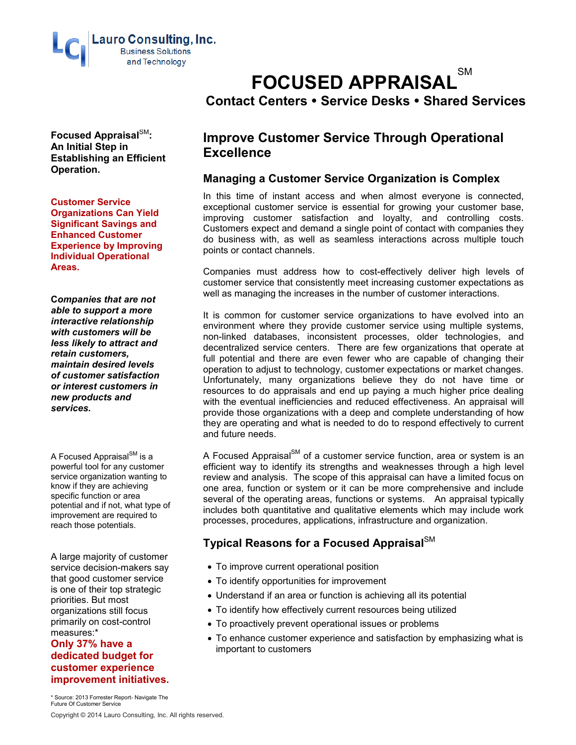

**Focused Appraisal**SM**: An Initial Step in Establishing an Efficient Operation.** 

**Customer Service Organizations Can Yield Significant Savings and Enhanced Customer Experience by Improving Individual Operational Areas.**

**C***ompanies that are not able to support a more interactive relationship with customers will be less likely to attract and retain customers, maintain desired levels of customer satisfaction or interest customers in new products and services.*

A Focused Appraisal $\text{SM}$  is a powerful tool for any customer service organization wanting to know if they are achieving specific function or area potential and if not, what type of improvement are required to reach those potentials.

A large majority of customer service decision-makers say that good customer service is one of their top strategic priorities. But most organizations still focus primarily on cost-control measures:\*

#### **Only 37% have a dedicated budget for customer experience improvement initiatives.**

\* Source: 2013 Forrester Report- Navigate The Future Of Customer Service

# **FOCUSED APPRAISAL**SM **Contact Centers Service Desks Shared Services**

# **Improve Customer Service Through Operational Excellence**

## **Managing a Customer Service Organization is Complex**

In this time of instant access and when almost everyone is connected, exceptional customer service is essential for growing your customer base, improving customer satisfaction and loyalty, and controlling costs. Customers expect and demand a single point of contact with companies they do business with, as well as seamless interactions across multiple touch points or contact channels.

Companies must address how to cost-effectively deliver high levels of customer service that consistently meet increasing customer expectations as well as managing the increases in the number of customer interactions.

It is common for customer service organizations to have evolved into an environment where they provide customer service using multiple systems, non-linked databases, inconsistent processes, older technologies, and decentralized service centers. There are few organizations that operate at full potential and there are even fewer who are capable of changing their operation to adjust to technology, customer expectations or market changes. Unfortunately, many organizations believe they do not have time or resources to do appraisals and end up paying a much higher price dealing with the eventual inefficiencies and reduced effectiveness. An appraisal will provide those organizations with a deep and complete understanding of how they are operating and what is needed to do to respond effectively to current and future needs.

A Focused Appraisal $\text{S}^{\text{M}}$  of a customer service function, area or system is an efficient way to identify its strengths and weaknesses through a high level review and analysis. The scope of this appraisal can have a limited focus on one area, function or system or it can be more comprehensive and include several of the operating areas, functions or systems. An appraisal typically includes both quantitative and qualitative elements which may include work processes, procedures, applications, infrastructure and organization.

## **Typical Reasons for a Focused Appraisal**SM

- To improve current operational position
- To identify opportunities for improvement
- Understand if an area or function is achieving all its potential
- To identify how effectively current resources being utilized
- To proactively prevent operational issues or problems
- To enhance customer experience and satisfaction by emphasizing what is important to customers

Copyright © 2014 Lauro Consulting, Inc. All rights reserved.